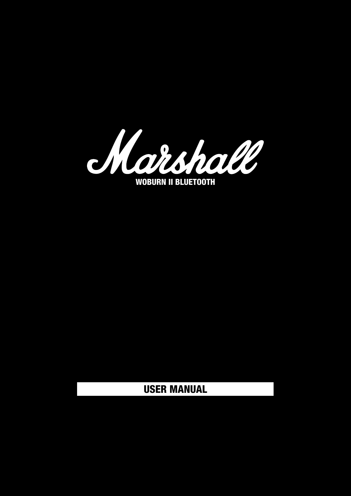

#### USER MANUAL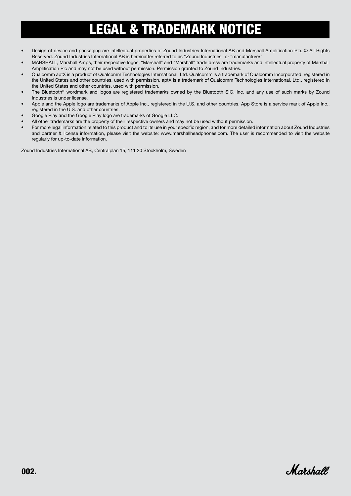## <span id="page-1-0"></span>LEGAL & TRADEMARK NOTICE

- Design of device and packaging are intellectual properties of Zound Industries International AB and Marshall Amplification Plc. © All Rights Reserved. Zound Industries International AB is hereinafter referred to as "Zound Industries" or "manufacturer".
- MARSHALL, Marshall Amps, their respective logos, "Marshall" and "Marshall" trade dress are trademarks and intellectual property of Marshall Amplification Plc and may not be used without permission. Permission granted to Zound Industries.
- Qualcomm aptX is a product of Qualcomm Technologies International, Ltd. Qualcomm is a trademark of Qualcomm Incorporated, registered in the United States and other countries, used with permission. aptX is a trademark of Qualcomm Technologies International, Ltd., registered in the United States and other countries, used with permission.
- The Bluetooth<sup>®</sup> wordmark and logos are registered trademarks owned by the Bluetooth SIG, Inc. and any use of such marks by Zound Industries is under license.
- Apple and the Apple logo are trademarks of Apple Inc., registered in the U.S. and other countries. App Store is a service mark of Apple Inc., registered in the U.S. and other countries.
- Google Play and the Google Play logo are trademarks of Google LLC.
- All other trademarks are the property of their respective owners and may not be used without permission.
- For more legal information related to this product and to its use in your specific region, and for more detailed information about Zound Industries and partner & license information, please visit the website: www.marshallheadphones.com. The user is recommended to visit the website regularly for up-to-date information.

Zound Industries International AB, Centralplan 15, 111 20 Stockholm, Sweden

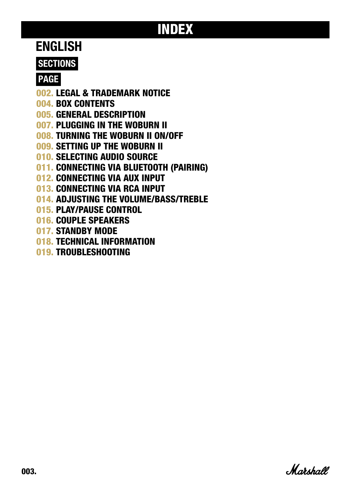## INDEX

#### ENGLISH

#### **SECTIONS**

#### PAGE

- 002. [LEGAL & TRADEMARK NOTICE](#page-1-0)
- 004. [BOX CONTENTS](#page-3-0)
- 005. [GENERAL DESCRIPTION](#page-4-0)
- 007. [PLUGGING IN THE WOBURN II](#page-6-0)
- 008. [TURNING THE WOBURN II ON/OFF](#page-7-0)
- 009. [SETTING UP THE WOBURN II](#page-8-0)
- 010. [SELECTING AUDIO SOURCE](#page-9-0)
- 011. [CONNECTING VIA BLUETOOTH \(PAIRING\)](#page-10-0)
- 012. [CONNECTING VIA AUX INPUT](#page-11-0)
- 013. [CONNECTING VIA RCA INPUT](#page-12-0)
- 014. [ADJUSTING THE VOLUME/BASS/TREBLE](#page-13-0)
- 015. [PLAY/PAUSE CONTROL](#page-14-0)
- 016. [COUPLE SPEAKERS](#page-15-0)
- 017. [STANDBY MODE](#page-16-0)
- 018. [TECHNICAL INFORMATION](#page-17-0)
- 019. [TROUBLESHOOTING](#page-18-0)

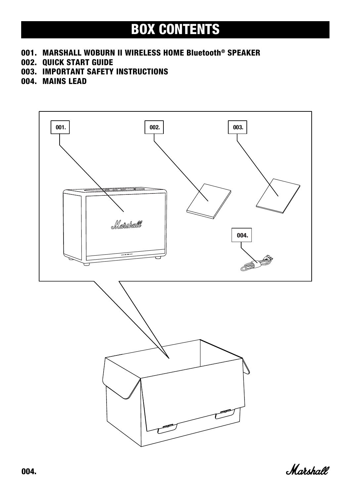### <span id="page-3-0"></span>BOX CONTENTS

- 001. MARSHALL WOBURN II WIRELESS HOME Bluetooth® SPEAKER
- 002. QUICK START GUIDE
- 003. IMPORTANT SAFETY INSTRUCTIONS
- 004. MAINS LEAD



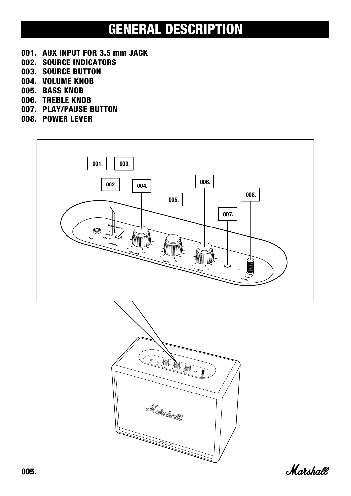#### <span id="page-4-0"></span>GENERAL DESCRIPTION

- 001. AUX INPUT FOR 3.5 mm JACK
- 002. SOURCE INDICATORS
- 003. SOURCE BUTTON
- 004. VOLUME KNOB
- 005. BASS KNOB
- 006. TREBLE KNOB
- 007. PLAY/PAUSE BUTTON
- 008. POWER LEVER





Marshall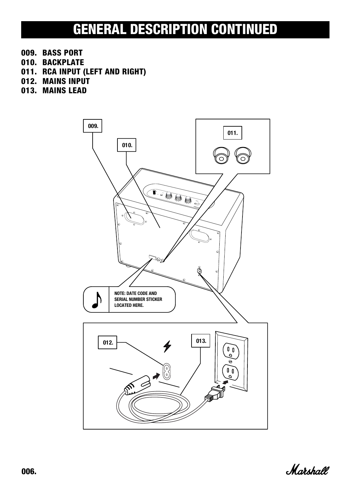### GENERAL DESCRIPTION CONTINUED

- 009. BASS PORT
- 010. BACKPLATE
- 011. RCA INPUT (LEFT AND RIGHT)
- 012. MAINS INPUT
- 013. MAINS LEAD



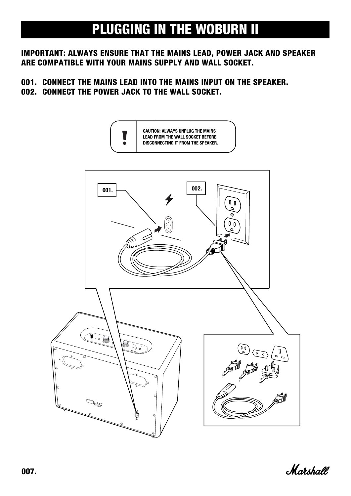### <span id="page-6-0"></span>PLUGGING IN THE WOBURN II

#### IMPORTANT: ALWAYS ENSURE THAT THE MAINS LEAD, POWER JACK AND SPEAKER ARE COMPATIBLE WITH YOUR MAINS SUPPLY AND WALL SOCKET.

#### 001. CONNECT THE MAINS LEAD INTO THE MAINS INPUT ON THE SPEAKER. 002. CONNECT THE POWER JACK TO THE WALL SOCKET.



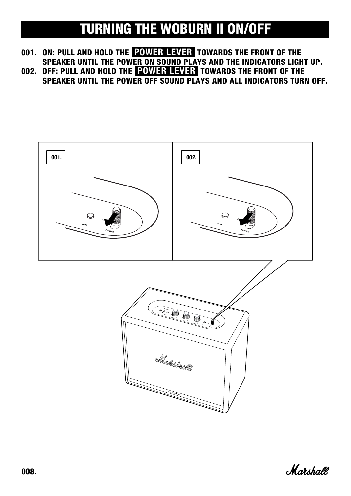### <span id="page-7-0"></span>TURNING THE WOBURN II ON/OFF

001. ON: PULL AND HOLD THE POWER LEVER TOWARDS THE FRONT OF THE SPEAKER UNTIL THE POWER ON SOUND PLAYS AND THE INDICATORS LIGHT UP. 002. OFF: PULL AND HOLD THE **POWER LEVER** TOWARDS THE FRONT OF THE

SPEAKER UNTIL THE POWER OFF SOUND PLAYS AND ALL INDICATORS TURN OFF.



Marshall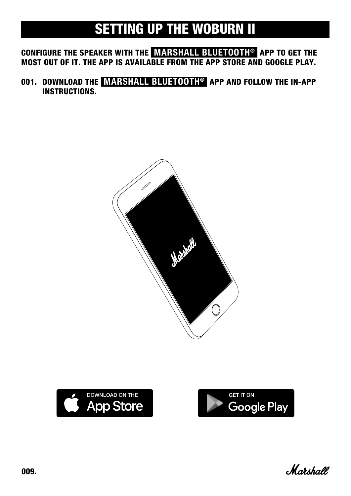## <span id="page-8-0"></span>SETTING UP THE WOBURN II

CONFIGURE THE SPEAKER WITH THE MARSHALL BLUETOOTH® APP TO GET THE MOST OUT OF IT. THE APP IS AVAILABLE FROM THE APP STORE AND GOOGLE PLAY.

001. DOWNLOAD THE MARSHALL BLUETOOTH® APP AND FOLLOW THE IN-APP INSTRUCTIONS.







Marshall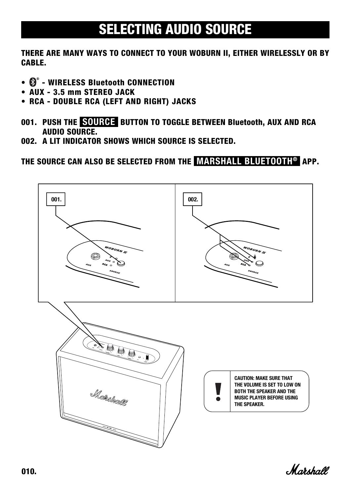### <span id="page-9-0"></span>SELECTING AUDIO SOURCE

THERE ARE MANY WAYS TO CONNECT TO YOUR WOBURN II, EITHER WIRELESSLY OR BY CABLE.

- $\mathbf{\Theta}^{\circ}$  WIRELESS Bluetooth CONNECTION
- AUX 3.5 mm STEREO JACK
- RCA DOUBLE RCA (LEFT AND RIGHT) JACKS
- 001. PUSH THE SOURCE BUTTON TO TOGGLE BETWEEN Bluetooth, AUX AND RCA AUDIO SOURCE.
- 002. A LIT INDICATOR SHOWS WHICH SOURCE IS SELECTED.

THE SOURCE CAN ALSO BE SELECTED FROM THE MARSHALL BLUETOOTH® APP.



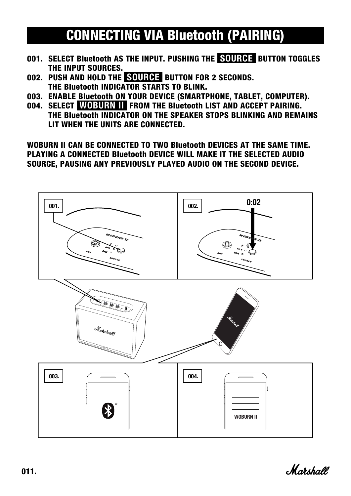## <span id="page-10-0"></span>CONNECTING VIA Bluetooth (PAIRING)

- 001. SELECT Bluetooth AS THE INPUT. PUSHING THE SOURCE BUTTON TOGGLES THE INPUT SOURCES.
- 002. PUSH AND HOLD THE **SOURGE** BUTTON FOR 2 SECONDS. THE Bluetooth INDICATOR STARTS TO BLINK.
- 003. ENABLE Bluetooth ON YOUR DEVICE (SMARTPHONE, TABLET, COMPUTER).
- 004. SELECT WOBURN II FROM THE Bluetooth LIST AND ACCEPT PAIRING. THE Bluetooth INDICATOR ON THE SPEAKER STOPS BLINKING AND REMAINS LIT WHEN THE UNITS ARE CONNECTED.

WOBURN II CAN BE CONNECTED TO TWO Bluetooth DEVICES AT THE SAME TIME. PLAYING A CONNECTED Bluetooth DEVICE WILL MAKE IT THE SELECTED AUDIO SOURCE, PAUSING ANY PREVIOUSLY PLAYED AUDIO ON THE SECOND DEVICE.



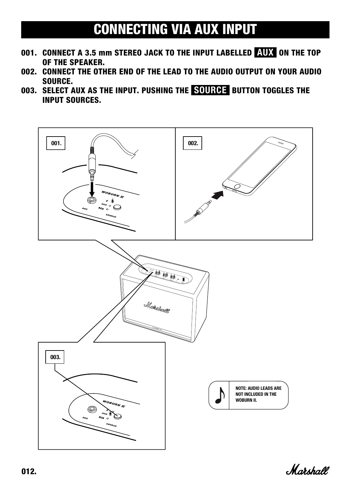## <span id="page-11-0"></span>CONNECTING VIA AUX INPUT

- 001. CONNECT A 3.5 mm STEREO JACK TO THE INPUT LABELLED AUX ON THE TOP OF THE SPEAKER.
- 002. CONNECT THE OTHER END OF THE LEAD TO THE AUDIO OUTPUT ON YOUR AUDIO SOURCE.
- 003. SELECT AUX AS THE INPUT. PUSHING THE SOURCE BUTTON TOGGLES THE INPUT SOURCES.



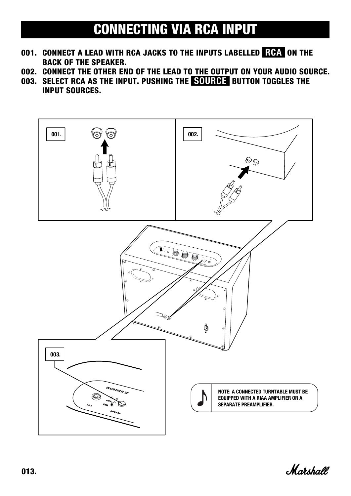### <span id="page-12-0"></span>CONNECTING VIA RCA INPUT

- 001. CONNECT A LEAD WITH RCA JACKS TO THE INPUTS LABELLED ROA ON THE BACK OF THE SPEAKER.
- 002. CONNECT THE OTHER END OF THE LEAD TO THE OUTPUT ON YOUR AUDIO SOURCE.
- 003. SELECT RCA AS THE INPUT. PUSHING THE SOURCE BUTTON TOGGLES THE INPUT SOURCES.



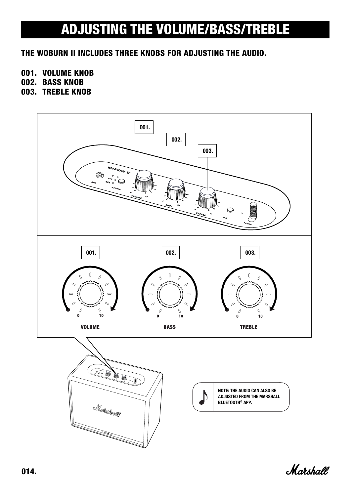### <span id="page-13-0"></span>ADJUSTING THE VOLUME/BASS/TREBLE

#### THE WOBURN II INCLUDES THREE KNOBS FOR ADJUSTING THE AUDIO.

#### 001. VOLUME KNOB

- 002. BASS KNOB
- 003. TREBLE KNOB



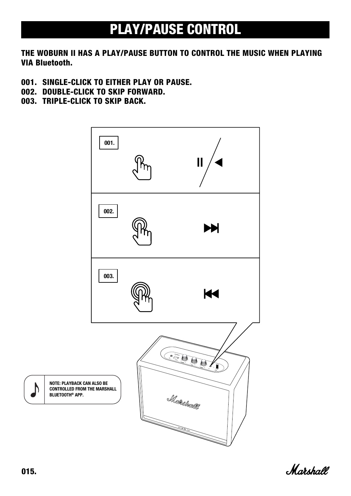## <span id="page-14-0"></span>PLAY/PAUSE CONTROL

#### THE WOBURN II HAS A PLAY/PAUSE BUTTON TO CONTROL THE MUSIC WHEN PLAYING VIA Bluetooth.

- 001. SINGLE-CLICK TO EITHER PLAY OR PAUSE.
- 002. DOUBLE-CLICK TO SKIP FORWARD.
- 003. TRIPLE-CLICK TO SKIP BACK.





D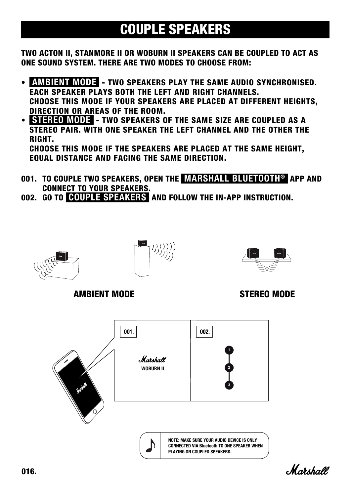## <span id="page-15-0"></span>COUPLE SPEAKERS

TWO ACTON II, STANMORE II OR WOBURN II SPEAKERS CAN BE COUPLED TO ACT AS ONE SOUND SYSTEM. THERE ARE TWO MODES TO CHOOSE FROM:

- AMBIENT MODE TWO SPEAKERS PLAY THE SAME AUDIO SYNCHRONISED. EACH SPEAKER PLAYS BOTH THE LEFT AND RIGHT CHANNELS. CHOOSE THIS MODE IF YOUR SPEAKERS ARE PLACED AT DIFFERENT HEIGHTS, DIRECTION OR AREAS OF THE ROOM.
- **STEREO MODE** TWO SPEAKERS OF THE SAME SIZE ARE COUPLED AS A STEREO PAIR. WITH ONE SPEAKER THE LEFT CHANNEL AND THE OTHER THE RIGHT.

CHOOSE THIS MODE IF THE SPEAKERS ARE PLACED AT THE SAME HEIGHT, EQUAL DISTANCE AND FACING THE SAME DIRECTION.

- 001. TO COUPLE TWO SPEAKERS, OPEN THE MARSHALL BLUETOOTH® APP AND CONNECT TO YOUR SPEAKERS.
- 002. GO TO COUPLE SPEAKERS AND FOLLOW THE IN-APP INSTRUCTION.

另)))))<br>リリ))j



AMBIENT MODE STEREO MODE





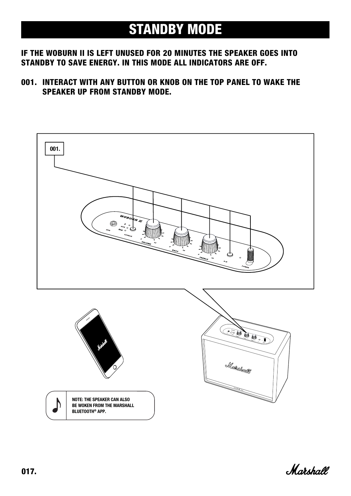#### <span id="page-16-0"></span>STANDBY MODE

#### IF THE WOBURN II IS LEFT UNUSED FOR 20 MINUTES THE SPEAKER GOES INTO STANDBY TO SAVE ENERGY. IN THIS MODE ALL INDICATORS ARE OFF.

001. INTERACT WITH ANY BUTTON OR KNOB ON THE TOP PANEL TO WAKE THE SPEAKER UP FROM STANDBY MODE.



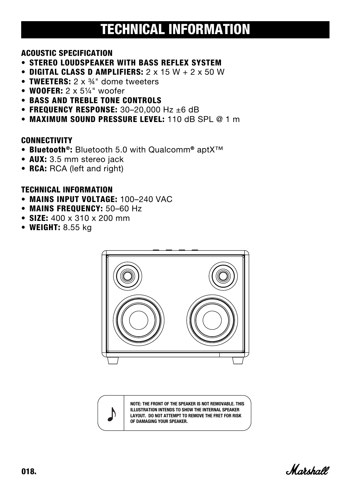## <span id="page-17-0"></span>TECHNICAL INFORMATION

#### ACOUSTIC SPECIFICATION

- STEREO LOUDSPEAKER WITH BASS REFLEX SYSTEM
- DIGITAL CLASS D AMPLIFIERS:  $2 \times 15 W + 2 \times 50 W$
- TWEETERS:  $2 \times 34$ " dome tweeters
- WOOFER:  $2 \times 5\frac{1}{4}$ " woofer
- BASS AND TREBLE TONE CONTROLS
- FREQUENCY RESPONSE:  $30-20,000$  Hz  $\pm 6$  dB
- MAXIMUM SOUND PRESSURE LEVEL: 110 dB SPL @ 1 m

#### **CONNECTIVITY**

- Bluetooth®: Bluetooth 5.0 with Qualcomm® aptX™
- AUX: 3.5 mm stereo jack
- RCA: RCA (left and right)

#### TECHNICAL INFORMATION

- MAINS INPUT VOLTAGE: 100–240 VAC
- MAINS FREQUENCY: 50–60 Hz
- SIZE: 400 x 310 x 200 mm
- WEIGHT: 8.55 kg





NOTE: THE FRONT OF THE SPEAKER IS NOT REMOVABLE. THIS ILLUSTRATION INTENDS TO SHOW THE INTERNAL SPEAKER LAYOUT. DO NOT ATTEMPT TO REMOVE THE FRET FOR RISK OF DAMAGING YOUR SPEAKER.

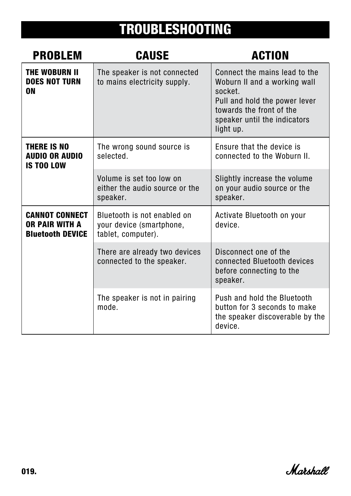# <span id="page-18-0"></span>TROUBLESHOOTING

| <b>PROBLEM</b>                                                            | <b>CAUSE</b>                                                                  | <b>ACTION</b>                                                                                                                                                                      |
|---------------------------------------------------------------------------|-------------------------------------------------------------------------------|------------------------------------------------------------------------------------------------------------------------------------------------------------------------------------|
| <b>THE WOBURN II</b><br><b>DOES NOT TURN</b><br><b>ON</b>                 | The speaker is not connected<br>to mains electricity supply.                  | Connect the mains lead to the<br>Woburn II and a working wall<br>socket.<br>Pull and hold the power lever<br>towards the front of the<br>speaker until the indicators<br>light up. |
| <b>THERE IS NO</b><br><b>AUDIO OR AUDIO</b><br><b>IS TOO LOW</b>          | The wrong sound source is<br>selected.                                        | Ensure that the device is<br>connected to the Woburn II.                                                                                                                           |
|                                                                           | Volume is set too low on<br>either the audio source or the<br>speaker.        | Slightly increase the volume<br>on your audio source or the<br>speaker.                                                                                                            |
| <b>CANNOT CONNECT</b><br><b>OR PAIR WITH A</b><br><b>Bluetooth DEVICE</b> | Bluetooth is not enabled on<br>your device (smartphone,<br>tablet, computer). | Activate Bluetooth on your<br>device.                                                                                                                                              |
|                                                                           | There are already two devices<br>connected to the speaker.                    | Disconnect one of the<br>connected Bluetooth devices<br>before connecting to the<br>speaker.                                                                                       |
|                                                                           | The speaker is not in pairing<br>mode.                                        | Push and hold the Bluetooth<br>button for 3 seconds to make<br>the speaker discoverable by the<br>device.                                                                          |

Marshall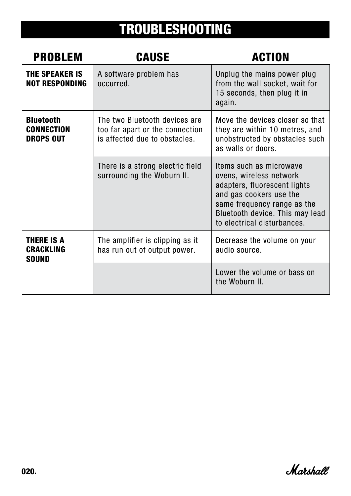# TROUBLESHOOTING

| <b>PROBLEM</b>                                            | <b>CAUSE</b>                                                                                      | <b>ACTION</b>                                                                                                                                                                                                  |
|-----------------------------------------------------------|---------------------------------------------------------------------------------------------------|----------------------------------------------------------------------------------------------------------------------------------------------------------------------------------------------------------------|
| <b>THE SPEAKER IS</b><br><b>NOT RESPONDING</b>            | A software problem has<br>occurred.                                                               | Unplug the mains power plug<br>from the wall socket, wait for<br>15 seconds, then plug it in<br>again.                                                                                                         |
| <b>Bluetooth</b><br><b>CONNECTION</b><br><b>DROPS OUT</b> | The two Bluetooth devices are<br>too far apart or the connection<br>is affected due to obstacles. | Move the devices closer so that<br>they are within 10 metres, and<br>unobstructed by obstacles such<br>as walls or doors.                                                                                      |
|                                                           | There is a strong electric field<br>surrounding the Woburn II.                                    | Items such as microwave<br>ovens, wireless network<br>adapters, fluorescent lights<br>and gas cookers use the<br>same frequency range as the<br>Bluetooth device. This may lead<br>to electrical disturbances. |
| <b>THERE IS A</b><br><b>CRACKLING</b><br><b>SOUND</b>     | The amplifier is clipping as it<br>has run out of output power.                                   | Decrease the volume on your<br>audio source.                                                                                                                                                                   |
|                                                           |                                                                                                   | Lower the volume or bass on<br>the Woburn II.                                                                                                                                                                  |

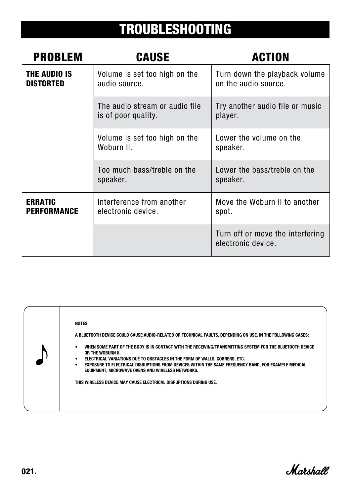# TROUBLESHOOTING

| <b>PROBLEM</b>                          | <b>CAUSE</b>                                          | <b>ACTION</b>                                          |
|-----------------------------------------|-------------------------------------------------------|--------------------------------------------------------|
| <b>THE AUDIO IS</b><br><b>DISTORTED</b> | Volume is set too high on the<br>audio source.        | Turn down the playback volume<br>on the audio source.  |
|                                         | The audio stream or audio file<br>is of poor quality. | Try another audio file or music<br>player.             |
|                                         | Volume is set too high on the<br>Woburn II.           | Lower the volume on the<br>speaker.                    |
|                                         | Too much bass/treble on the<br>speaker.               | Lower the bass/treble on the<br>speaker.               |
| <b>ERRATIC</b><br><b>PERFORMANCE</b>    | Interference from another<br>electronic device.       | Move the Woburn II to another<br>spot.                 |
|                                         |                                                       | Turn off or move the interfering<br>electronic device. |

| NOTES:<br>A BLUETOOTH DEVICE COULD CAUSE AUDIO-RELATED OR TECHNICAL FAULTS, DEPENDING ON USE, IN THE FOLLOWING CASES:<br>WHEN SOME PART OF THE BODY IS IN CONTACT WITH THE RECEIVING/TRANSMITTING SYSTEM FOR THE BLUETOOTH DEVICE<br>٠<br>OR THE WOBURN II.<br>ELECTRICAL VARIATIONS DUE TO OBSTACLES IN THE FORM OF WALLS, CORNERS, ETC.<br>EXPOSURE TO ELECTRICAL DISRUPTIONS FROM DEVICES WITHIN THE SAME FREQUENCY BAND, FOR EXAMPLE MEDICAL<br>EQUIPMENT, MICROWAVE OVENS AND WIRELESS NETWORKS.<br>THIS WIRELESS DEVICE MAY CAUSE ELECTRICAL DISRUPTIONS DURING USE. |
|----------------------------------------------------------------------------------------------------------------------------------------------------------------------------------------------------------------------------------------------------------------------------------------------------------------------------------------------------------------------------------------------------------------------------------------------------------------------------------------------------------------------------------------------------------------------------|
|----------------------------------------------------------------------------------------------------------------------------------------------------------------------------------------------------------------------------------------------------------------------------------------------------------------------------------------------------------------------------------------------------------------------------------------------------------------------------------------------------------------------------------------------------------------------------|